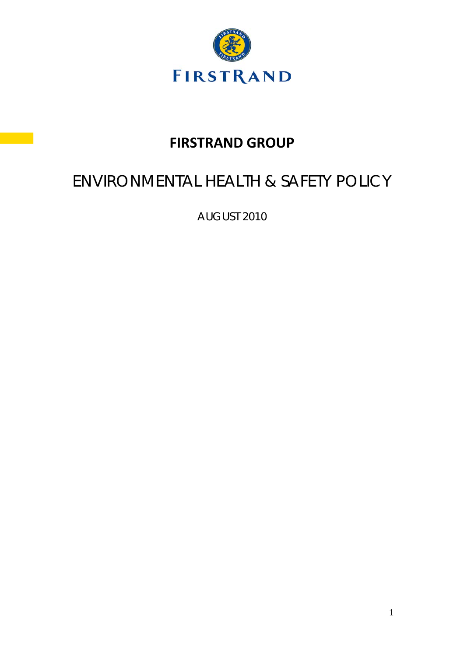

# **FIRSTRAND GROUP**

# ENVIRONMENTAL HEALTH & SAFETY POLICY

AUGUST 2010